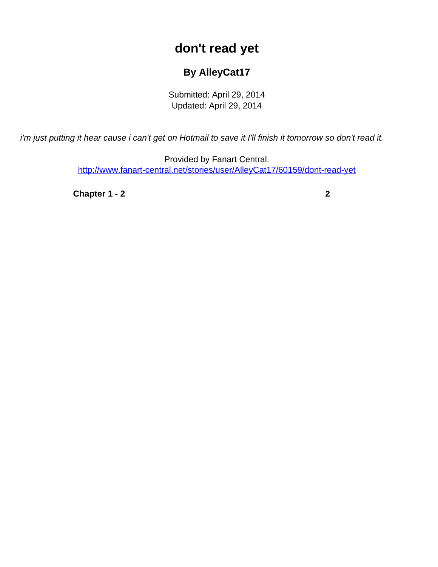## **don't read yet**

## **By AlleyCat17**

Submitted: April 29, 2014 Updated: April 29, 2014

<span id="page-0-0"></span>i'm just putting it hear cause i can't get on Hotmail to save it I'll finish it tomorrow so don't read it.

Provided by Fanart Central. [http://www.fanart-central.net/stories/user/AlleyCat17/60159/dont-read-yet](#page-0-0)

**[Chapter 1 - 2](#page-1-0)** [2](#page-1-0)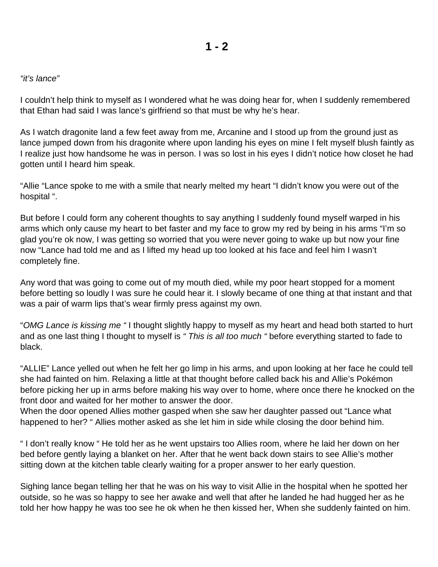## <span id="page-1-0"></span>"it's lance"

I couldn't help think to myself as I wondered what he was doing hear for, when I suddenly remembered that Ethan had said I was lance's girlfriend so that must be why he's hear.

As I watch dragonite land a few feet away from me, Arcanine and I stood up from the ground just as lance jumped down from his dragonite where upon landing his eyes on mine I felt myself blush faintly as I realize just how handsome he was in person. I was so lost in his eyes I didn't notice how closet he had gotten until I heard him speak.

"Allie "Lance spoke to me with a smile that nearly melted my heart "I didn't know you were out of the hospital ".

But before I could form any coherent thoughts to say anything I suddenly found myself warped in his arms which only cause my heart to bet faster and my face to grow my red by being in his arms "I'm so glad you're ok now, I was getting so worried that you were never going to wake up but now your fine now "Lance had told me and as I lifted my head up too looked at his face and feel him I wasn't completely fine.

Any word that was going to come out of my mouth died, while my poor heart stopped for a moment before betting so loudly I was sure he could hear it. I slowly became of one thing at that instant and that was a pair of warm lips that's wear firmly press against my own.

"OMG Lance is kissing me "I thought slightly happy to myself as my heart and head both started to hurt and as one last thing I thought to myself is " This is all too much "before everything started to fade to black.

"ALLIE" Lance yelled out when he felt her go limp in his arms, and upon looking at her face he could tell she had fainted on him. Relaxing a little at that thought before called back his and Allie's Pokémon before picking her up in arms before making his way over to home, where once there he knocked on the front door and waited for her mother to answer the door.

When the door opened Allies mother gasped when she saw her daughter passed out "Lance what happened to her? " Allies mother asked as she let him in side while closing the door behind him.

" I don't really know " He told her as he went upstairs too Allies room, where he laid her down on her bed before gently laying a blanket on her. After that he went back down stairs to see Allie's mother sitting down at the kitchen table clearly waiting for a proper answer to her early question.

Sighing lance began telling her that he was on his way to visit Allie in the hospital when he spotted her outside, so he was so happy to see her awake and well that after he landed he had hugged her as he told her how happy he was too see he ok when he then kissed her, When she suddenly fainted on him.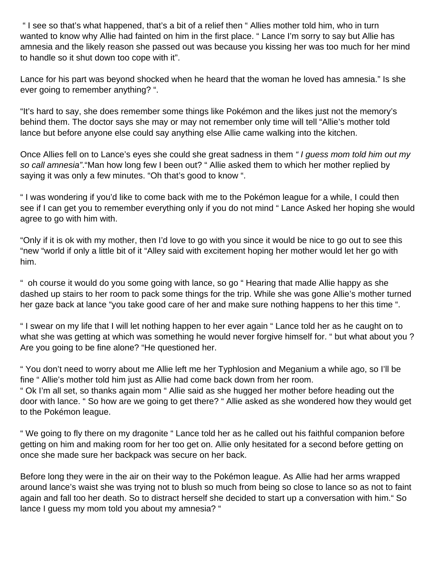" I see so that's what happened, that's a bit of a relief then " Allies mother told him, who in turn wanted to know why Allie had fainted on him in the first place. " Lance I'm sorry to say but Allie has amnesia and the likely reason she passed out was because you kissing her was too much for her mind to handle so it shut down too cope with it".

Lance for his part was beyond shocked when he heard that the woman he loved has amnesia." Is she ever going to remember anything? ".

"It's hard to say, she does remember some things like Pokémon and the likes just not the memory's behind them. The doctor says she may or may not remember only time will tell "Allie's mother told lance but before anyone else could say anything else Allie came walking into the kitchen.

Once Allies fell on to Lance's eyes she could she great sadness in them "I guess mom told him out my so call amnesia". "Man how long few I been out? " Allie asked them to which her mother replied by saying it was only a few minutes. "Oh that's good to know".

" I was wondering if you'd like to come back with me to the Pokémon league for a while, I could then see if I can get you to remember everything only if you do not mind " Lance Asked her hoping she would agree to go with him with.

"Only if it is ok with my mother, then I'd love to go with you since it would be nice to go out to see this "new "world if only a little bit of it "Alley said with excitement hoping her mother would let her go with him.

" oh course it would do you some going with lance, so go " Hearing that made Allie happy as she dashed up stairs to her room to pack some things for the trip. While she was gone Allie's mother turned her gaze back at lance "you take good care of her and make sure nothing happens to her this time ".

" I swear on my life that I will let nothing happen to her ever again " Lance told her as he caught on to what she was getting at which was something he would never forgive himself for. " but what about you ? Are you going to be fine alone? "He questioned her.

" You don't need to worry about me Allie left me her Typhlosion and Meganium a while ago, so I'll be fine " Allie's mother told him just as Allie had come back down from her room.

" Ok I'm all set, so thanks again mom " Allie said as she hugged her mother before heading out the door with lance. " So how are we going to get there? " Allie asked as she wondered how they would get to the Pokémon league.

" We going to fly there on my dragonite " Lance told her as he called out his faithful companion before getting on him and making room for her too get on. Allie only hesitated for a second before getting on once she made sure her backpack was secure on her back.

Before long they were in the air on their way to the Pokémon league. As Allie had her arms wrapped around lance's waist she was trying not to blush so much from being so close to lance so as not to faint again and fall too her death. So to distract herself she decided to start up a conversation with him." So lance I guess my mom told you about my amnesia? "